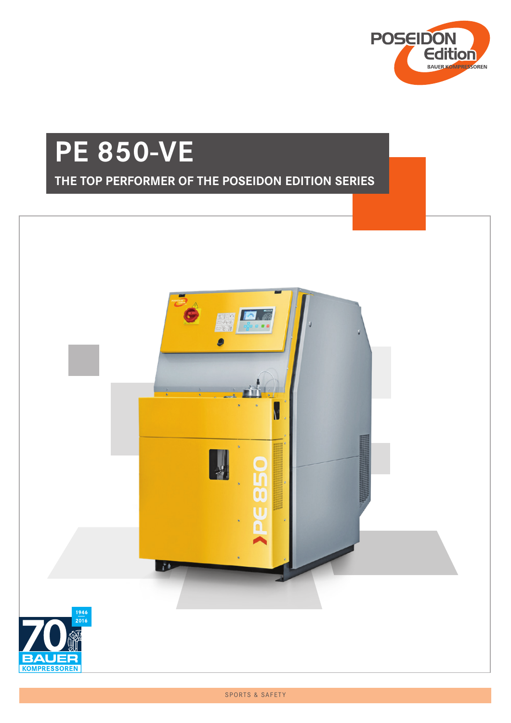

# **PE 850-VE**

### **THE TOP PERFORMER OF THE POSEIDON EDITION SERIES**